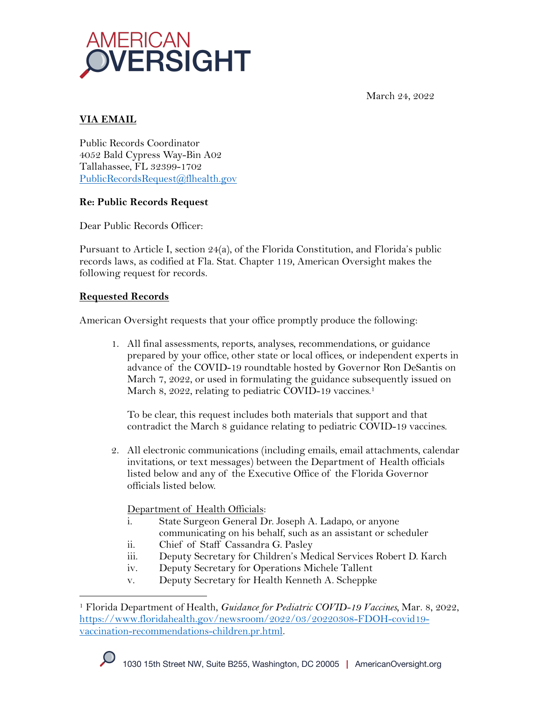



## **VIA EMAIL**

Public Records Coordinator 4052 Bald Cypress Way-Bin A02 Tallahassee, FL 32399-1702 PublicRecordsRequest@flhealth.gov

## **Re: Public Records Request**

Dear Public Records Officer:

Pursuant to Article I, section 24(a), of the Florida Constitution, and Florida's public records laws, as codified at Fla. Stat. Chapter 119, American Oversight makes the following request for records.

## **Requested Records**

American Oversight requests that your office promptly produce the following:

1. All final assessments, reports, analyses, recommendations, or guidance prepared by your office, other state or local offices, or independent experts in advance of the COVID-19 roundtable hosted by Governor Ron DeSantis on March 7, 2022, or used in formulating the guidance subsequently issued on March 8, 2022, relating to pediatric COVID-19 vaccines.<sup>1</sup>

To be clear, this request includes both materials that support and that contradict the March 8 guidance relating to pediatric COVID-19 vaccines.

2. All electronic communications (including emails, email attachments, calendar invitations, or text messages) between the Department of Health officials listed below and any of the Executive Office of the Florida Governor officials listed below.

Department of Health Officials:

- i. State Surgeon General Dr. Joseph A. Ladapo, or anyone communicating on his behalf, such as an assistant or scheduler
- ii. Chief of Staff Cassandra G. Pasley
- iii. Deputy Secretary for Children's Medical Services Robert D. Karch
- iv. Deputy Secretary for Operations Michele Tallent
- v. Deputy Secretary for Health Kenneth A. Scheppke

<sup>1</sup> Florida Department of Health, *Guidance for Pediatric COVID-19 Vaccines,* Mar. 8, 2022, https://www.floridahealth.gov/newsroom/2022/03/20220308-FDOH-covid19 vaccination-recommendations-children.pr.html.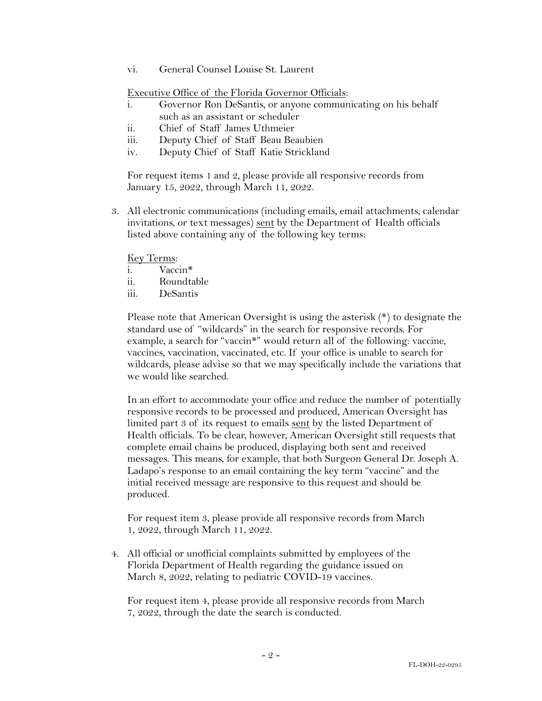vi. General Counsel Louise St. Laurent

Executive Office of the Florida Governor Officials:

- i. Governor Ron DeSantis, or anyone communicating on his behalf such as an assistant or scheduler
- ii. Chief of Staff James Uthmeier
- iii. Deputy Chief of Staff Beau Beaubien
- iv. Deputy Chief of Staff Katie Strickland

For request items 1 and 2, please provide all responsive records from January 15, 2022, through March 11, 2022.

3. All electronic communications (including emails, email attachments, calendar invitations, or text messages) sent by the Department of Health officials listed above containing any of the following key terms:

Key Terms:

- i. Vaccin\*
- ii. Roundtable
- iii. DeSantis

Please note that American Oversight is using the asterisk (\*) to designate the standard use of "wildcards" in the search for responsive records. For example, a search for "vaccin\*" would return all of the following: vaccine, vaccines, vaccination, vaccinated, etc. If your office is unable to search for wildcards, please advise so that we may specifically include the variations that we would like searched.

In an effort to accommodate your office and reduce the number of potentially responsive records to be processed and produced, American Oversight has limited part 3 of its request to emails sent by the listed Department of Health officials. To be clear, however, American Oversight still requests that complete email chains be produced, displaying both sent and received messages. This means, for example, that both Surgeon General Dr. Joseph A. Ladapo's response to an email containing the key term "vaccine" and the initial received message are responsive to this request and should be produced.

For request item 3, please provide all responsive records from March 1, 2022, through March 11, 2022.

4. All official or unofficial complaints submitted by employees of the Florida Department of Health regarding the guidance issued on March 8, 2022, relating to pediatric COVID-19 vaccines.

For request item 4, please provide all responsive records from March 7, 2022, through the date the search is conducted.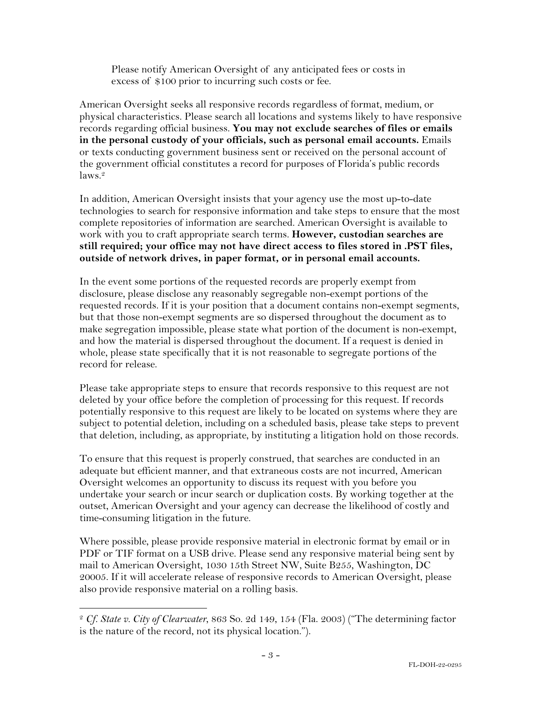Please notify American Oversight of any anticipated fees or costs in excess of \$100 prior to incurring such costs or fee.

American Oversight seeks all responsive records regardless of format, medium, or physical characteristics. Please search all locations and systems likely to have responsive records regarding official business. **You may not exclude searches of files or emails in the personal custody of your officials, such as personal email accounts.** Emails or texts conducting government business sent or received on the personal account of the government official constitutes a record for purposes of Florida's public records  $laws.<sup>2</sup>$ 

In addition, American Oversight insists that your agency use the most up-to-date technologies to search for responsive information and take steps to ensure that the most complete repositories of information are searched. American Oversight is available to work with you to craft appropriate search terms. **However, custodian searches are still required; your office may not have direct access to files stored in .PST files, outside of network drives, in paper format, or in personal email accounts.**

In the event some portions of the requested records are properly exempt from disclosure, please disclose any reasonably segregable non-exempt portions of the requested records. If it is your position that a document contains non-exempt segments, but that those non-exempt segments are so dispersed throughout the document as to make segregation impossible, please state what portion of the document is non-exempt, and how the material is dispersed throughout the document. If a request is denied in whole, please state specifically that it is not reasonable to segregate portions of the record for release.

Please take appropriate steps to ensure that records responsive to this request are not deleted by your office before the completion of processing for this request. If records potentially responsive to this request are likely to be located on systems where they are subject to potential deletion, including on a scheduled basis, please take steps to prevent that deletion, including, as appropriate, by instituting a litigation hold on those records.

To ensure that this request is properly construed, that searches are conducted in an adequate but efficient manner, and that extraneous costs are not incurred, American Oversight welcomes an opportunity to discuss its request with you before you undertake your search or incur search or duplication costs. By working together at the outset, American Oversight and your agency can decrease the likelihood of costly and time-consuming litigation in the future.

Where possible, please provide responsive material in electronic format by email or in PDF or TIF format on a USB drive. Please send any responsive material being sent by mail to American Oversight, 1030 15th Street NW, Suite B255, Washington, DC 20005. If it will accelerate release of responsive records to American Oversight, please also provide responsive material on a rolling basis.

<sup>2</sup> *Cf. State v. City of Clearwater*, 863 So. 2d 149, 154 (Fla. 2003) ("The determining factor is the nature of the record, not its physical location.").